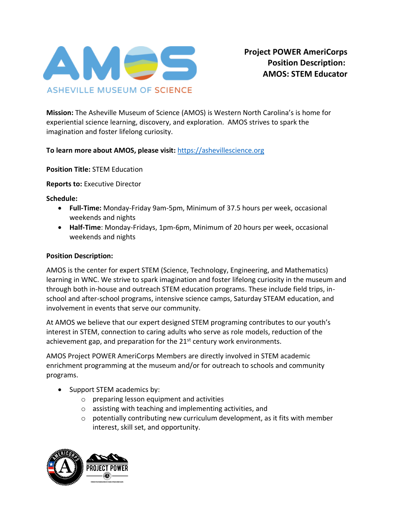

**Mission:** The Asheville Museum of Science (AMOS) is Western North Carolina's is home for experiential science learning, discovery, and exploration. AMOS strives to spark the imagination and foster lifelong curiosity.

**To learn more about AMOS, please visit:** [https://ashevillescience.org](https://ashevillescience.org/)

**Position Title:** STEM Education

**Reports to:** Executive Director

**Schedule:**

- **Full-Time:** Monday-Friday 9am-5pm, Minimum of 37.5 hours per week, occasional weekends and nights
- **Half-Time**: Monday-Fridays, 1pm-6pm, Minimum of 20 hours per week, occasional weekends and nights

## **Position Description:**

AMOS is the center for expert STEM (Science, Technology, Engineering, and Mathematics) learning in WNC. We strive to spark imagination and foster lifelong curiosity in the museum and through both in-house and outreach STEM education programs. These include field trips, inschool and after-school programs, intensive science camps, Saturday STEAM education, and involvement in events that serve our community.

At AMOS we believe that our expert designed STEM programing contributes to our youth's interest in STEM, connection to caring adults who serve as role models, reduction of the achievement gap, and preparation for the  $21<sup>st</sup>$  century work environments.

AMOS Project POWER AmeriCorps Members are directly involved in STEM academic enrichment programming at the museum and/or for outreach to schools and community programs.

- Support STEM academics by:
	- o preparing lesson equipment and activities
	- o assisting with teaching and implementing activities, and
	- o potentially contributing new curriculum development, as it fits with member interest, skill set, and opportunity.